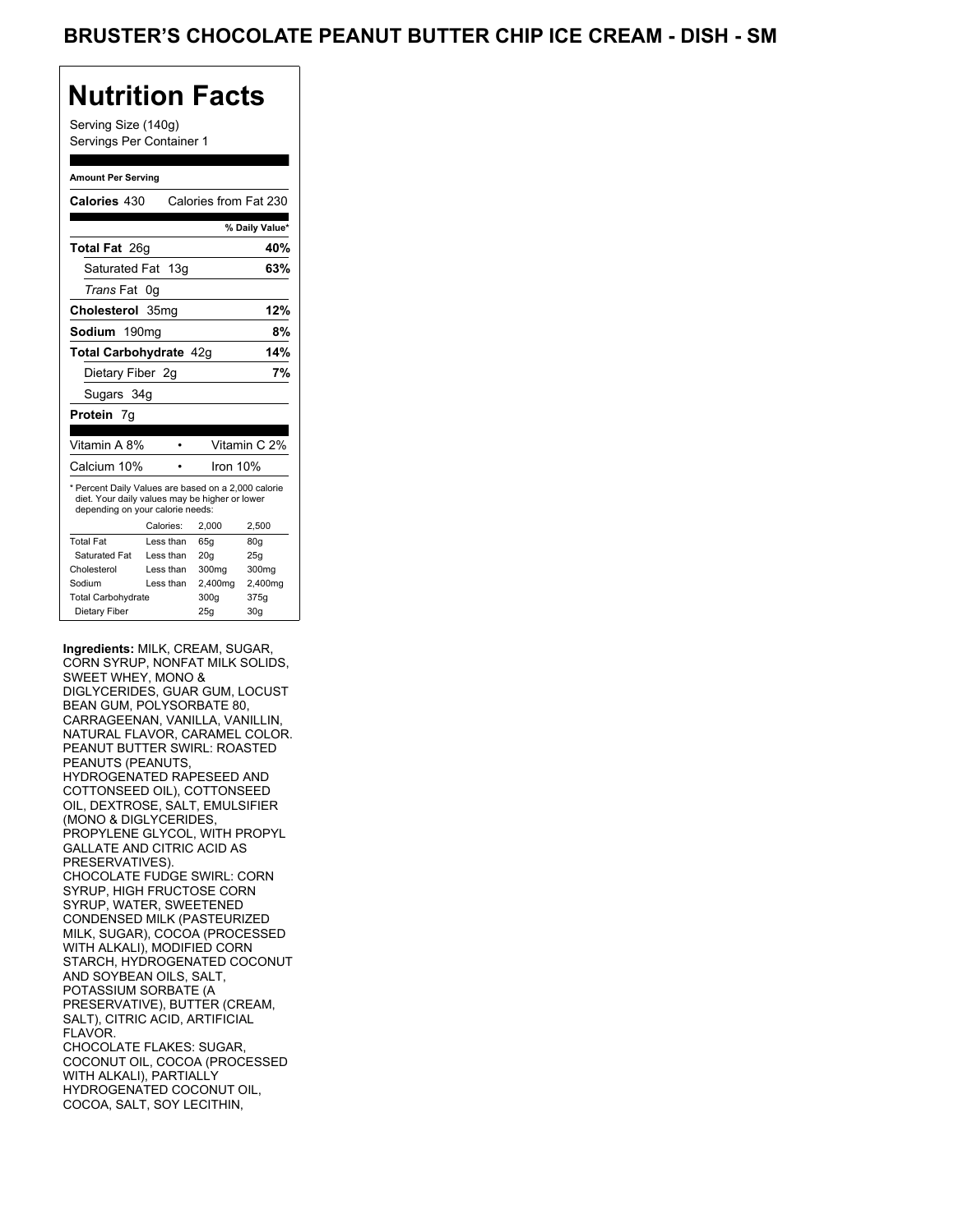Serving Size (140g) Servings Per Container 1

#### **Amount Per Serving**

| Calories 430                                                                                                                              |           |           |            | Calories from Fat 230 |
|-------------------------------------------------------------------------------------------------------------------------------------------|-----------|-----------|------------|-----------------------|
|                                                                                                                                           |           |           |            | % Daily Value*        |
| Total Fat 26q                                                                                                                             |           |           |            | 40%                   |
| Saturated Fat 13g                                                                                                                         |           |           |            | 63%                   |
| <i>Trans</i> Fat                                                                                                                          | 0g        |           |            |                       |
| Cholesterol 35mg                                                                                                                          |           |           |            | 12%                   |
| Sodium 190mg                                                                                                                              |           |           |            | 8%                    |
| Total Carbohydrate 42q                                                                                                                    |           |           |            | 14%                   |
| Dietary Fiber 2q                                                                                                                          |           |           |            | 7%                    |
| Sugars 34g                                                                                                                                |           |           |            |                       |
| <b>Protein 7g</b>                                                                                                                         |           |           |            |                       |
|                                                                                                                                           |           |           |            |                       |
| Vitamin A 8%                                                                                                                              |           |           |            | Vitamin C 2%          |
| Calcium 10%                                                                                                                               |           |           | Iron $10%$ |                       |
| * Percent Daily Values are based on a 2,000 calorie<br>diet. Your daily values may be higher or lower<br>depending on your calorie needs: |           |           |            |                       |
|                                                                                                                                           | Calories: |           | 2.000      | 2,500                 |
| <b>Total Fat</b>                                                                                                                          |           | Less than | 65q        | 80q                   |
| Saturated Fat                                                                                                                             |           | Less than | 20q        | 25q                   |
| Cholesterol                                                                                                                               |           | Less than | 300mg      | 300mg                 |
| Sodium                                                                                                                                    |           | Less than | 2,400mg    | 2,400mg               |
| <b>Total Carbohydrate</b>                                                                                                                 |           |           | 300q       | 375g                  |
| Dietary Fiber                                                                                                                             |           |           | 25q        | 30q                   |

**Ingredients:** MILK, CREAM, SUGAR, CORN SYRUP, NONFAT MILK SOLIDS, SWEET WHEY, MONO & DIGLYCERIDES, GUAR GUM, LOCUST BEAN GUM, POLYSORBATE 80, CARRAGEENAN, VANILLA, VANILLIN, NATURAL FLAVOR, CARAMEL COLOR. PEANUT BUTTER SWIRL: ROASTED PEANUTS (PEANUTS, HYDROGENATED RAPESEED AND COTTONSEED OIL), COTTONSEED OIL, DEXTROSE, SALT, EMULSIFIER (MONO & DIGLYCERIDES, PROPYLENE GLYCOL, WITH PROPYL GALLATE AND CITRIC ACID AS PRESERVATIVES). CHOCOLATE FUDGE SWIRL: CORN SYRUP, HIGH FRUCTOSE CORN SYRUP, WATER, SWEETENED CONDENSED MILK (PASTEURIZED MILK, SUGAR), COCOA (PROCESSED WITH ALKALI), MODIFIED CORN STARCH, HYDROGENATED COCONUT AND SOYBEAN OILS, SALT, POTASSIUM SORBATE (A PRESERVATIVE), BUTTER (CREAM, SALT), CITRIC ACID, ARTIFICIAL FLAVOR. CHOCOLATE FLAKES: SUGAR, COCONUT OIL, COCOA (PROCESSED WITH ALKALI), PARTIALLY HYDROGENATED COCONUT OIL, COCOA, SALT, SOY LECITHIN,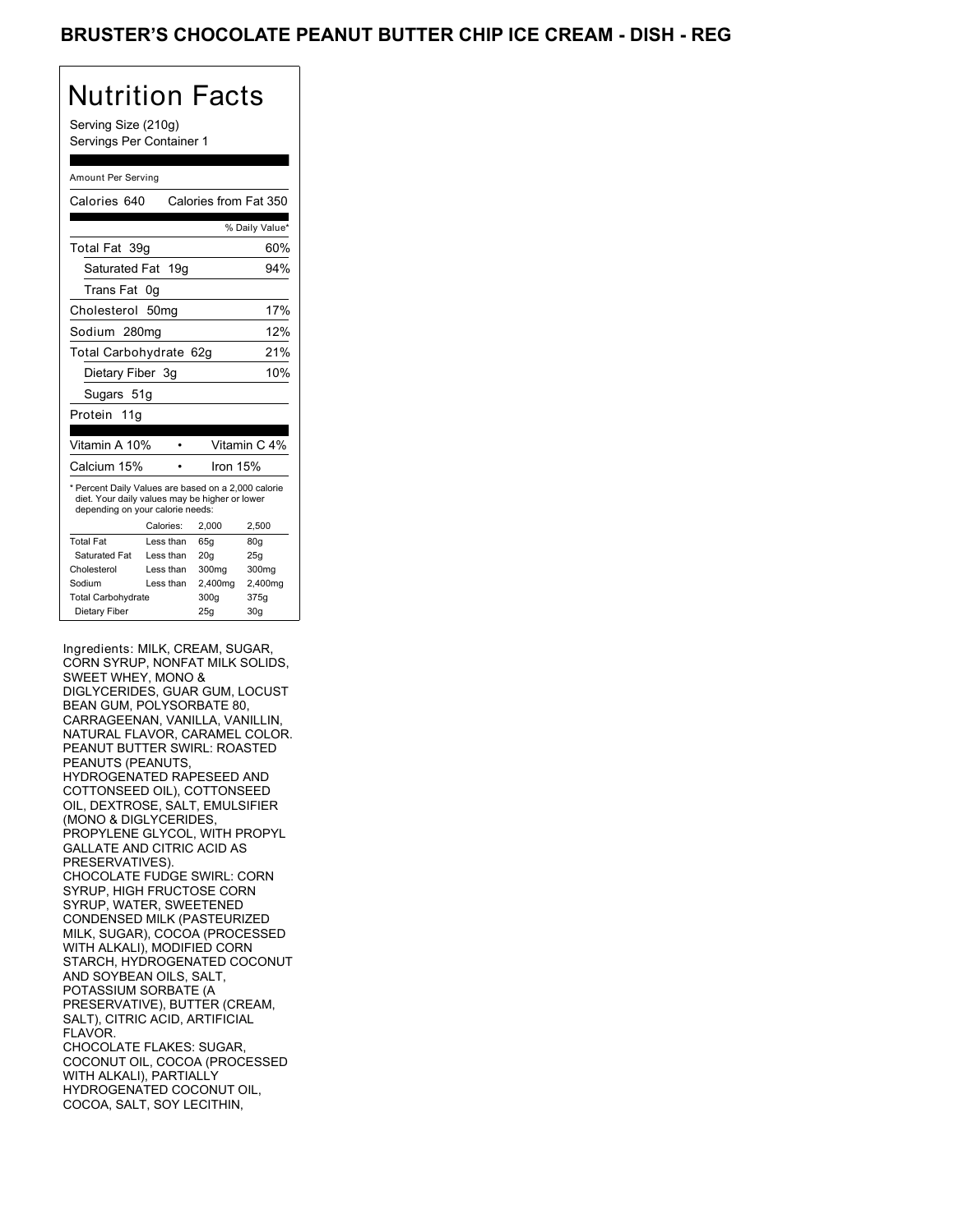Serving Size (210g) Servings Per Container 1

#### Amount Per Serving

| Calories 640                                                                                                                              |                  | Calories from Fat 350 |                |
|-------------------------------------------------------------------------------------------------------------------------------------------|------------------|-----------------------|----------------|
|                                                                                                                                           |                  |                       | % Daily Value* |
| Total Fat 39q                                                                                                                             |                  |                       | 60%            |
| Saturated Fat 19g                                                                                                                         |                  |                       | 94%            |
| Trans Fat                                                                                                                                 | 0g               |                       |                |
| Cholesterol                                                                                                                               | 50 <sub>mq</sub> |                       | 17%            |
| Sodium 280mg                                                                                                                              |                  |                       | 12%            |
| Total Carbohydrate 62g                                                                                                                    |                  |                       | 21%            |
| Dietary Fiber 3g                                                                                                                          |                  |                       | 10%            |
| Sugars 51g                                                                                                                                |                  |                       |                |
| Protein<br>11a                                                                                                                            |                  |                       |                |
| Vitamin A 10%                                                                                                                             |                  |                       | Vitamin C 4%   |
| Calcium 15%                                                                                                                               |                  |                       |                |
|                                                                                                                                           |                  | Iron $15%$            |                |
| * Percent Daily Values are based on a 2,000 calorie<br>diet. Your daily values may be higher or lower<br>depending on your calorie needs: |                  |                       |                |
|                                                                                                                                           | Calories:        | 2.000                 | 2.500          |
| <b>Total Fat</b>                                                                                                                          | Less than        | 65g                   | 80g            |
| Saturated Fat                                                                                                                             | Less than        | 20 <sub>g</sub>       | 25g            |
| Cholesterol                                                                                                                               | Less than        | 300mg                 | 300mg          |
| Sodium                                                                                                                                    | Less than        | 2,400mg               | 2,400mg        |
| <b>Total Carbohydrate</b>                                                                                                                 |                  | 300q                  | 375g           |

Ingredients: MILK, CREAM, SUGAR, CORN SYRUP, NONFAT MILK SOLIDS, SWEET WHEY, MONO & DIGLYCERIDES, GUAR GUM, LOCUST BEAN GUM, POLYSORBATE 80, CARRAGEENAN, VANILLA, VANILLIN, NATURAL FLAVOR, CARAMEL COLOR. PEANUT BUTTER SWIRL: ROASTED PEANUTS (PEANUTS, HYDROGENATED RAPESEED AND COTTONSEED OIL), COTTONSEED OIL, DEXTROSE, SALT, EMULSIFIER (MONO & DIGLYCERIDES, PROPYLENE GLYCOL, WITH PROPYL GALLATE AND CITRIC ACID AS PRESERVATIVES). CHOCOLATE FUDGE SWIRL: CORN SYRUP, HIGH FRUCTOSE CORN SYRUP, WATER, SWEETENED CONDENSED MILK (PASTEURIZED MILK, SUGAR), COCOA (PROCESSED WITH ALKALI), MODIFIED CORN STARCH, HYDROGENATED COCONUT AND SOYBEAN OILS, SALT, POTASSIUM SORBATE (A PRESERVATIVE), BUTTER (CREAM, SALT), CITRIC ACID, ARTIFICIAL FLAVOR. CHOCOLATE FLAKES: SUGAR, COCONUT OIL, COCOA (PROCESSED WITH ALKALI), PARTIALLY HYDROGENATED COCONUT OIL, COCOA, SALT, SOY LECITHIN,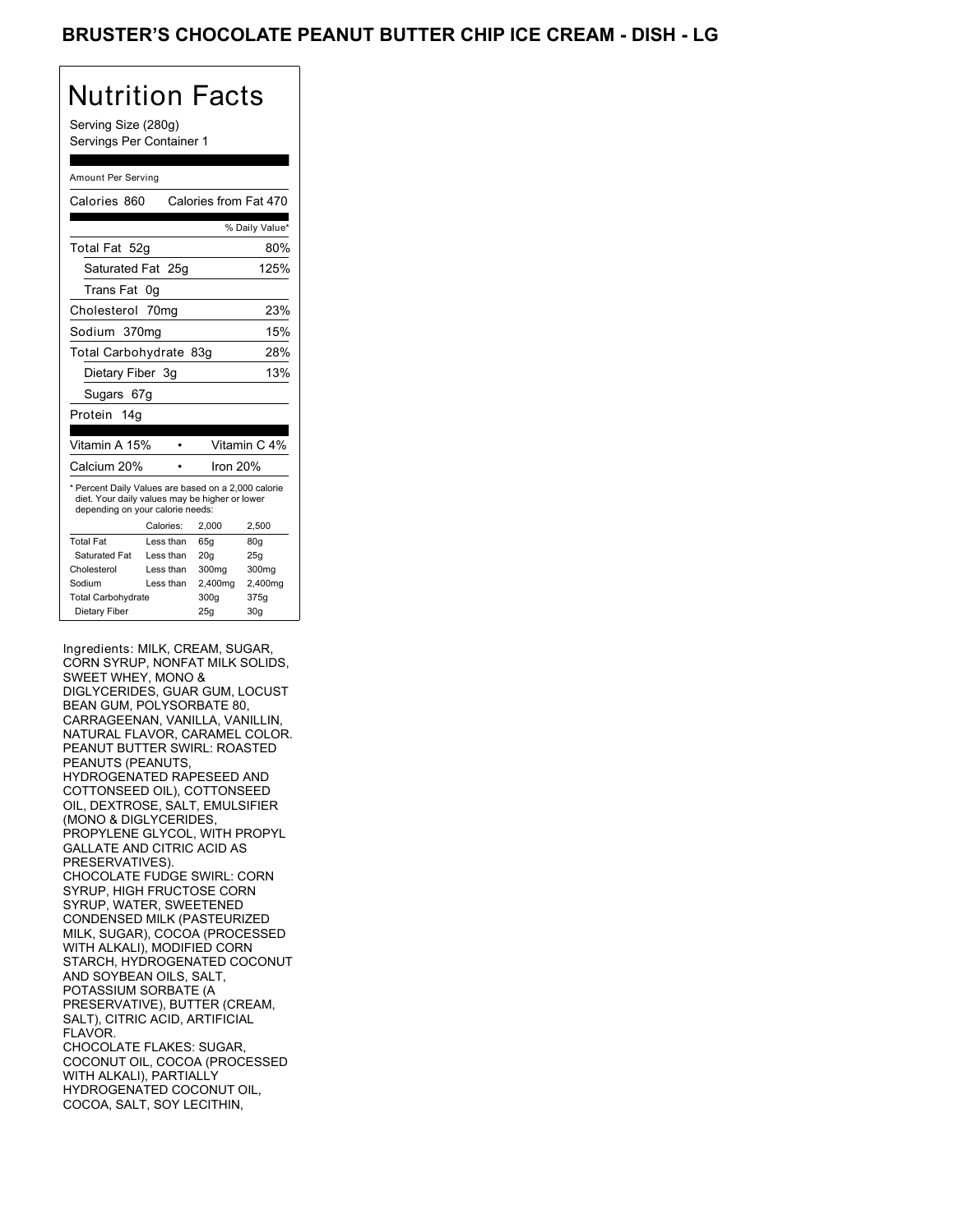Serving Size (280g) Servings Per Container 1

#### Amount Per Serving

| Calories 860                                                                                                                              |           | Calories from Fat 470 |                |
|-------------------------------------------------------------------------------------------------------------------------------------------|-----------|-----------------------|----------------|
|                                                                                                                                           |           |                       | % Daily Value* |
| Total Fat 52g                                                                                                                             |           |                       | 80%            |
| Saturated Fat 25g                                                                                                                         |           |                       | 125%           |
| Trans Fat 0g                                                                                                                              |           |                       |                |
| Cholesterol 70mg                                                                                                                          |           |                       | 23%            |
| Sodium 370mg                                                                                                                              |           |                       | 15%            |
| Total Carbohydrate 83g                                                                                                                    |           |                       | 28%            |
| Dietary Fiber 3g                                                                                                                          |           |                       | 13%            |
| Sugars 67g                                                                                                                                |           |                       |                |
| Protein<br>14q                                                                                                                            |           |                       |                |
| Vitamin A 15%                                                                                                                             |           |                       | Vitamin C 4%   |
| Calcium 20%                                                                                                                               |           | Iron $20%$            |                |
| * Percent Daily Values are based on a 2,000 calorie<br>diet. Your daily values may be higher or lower<br>depending on your calorie needs: |           |                       |                |
|                                                                                                                                           | Calories: | 2,000                 | 2,500          |
| <b>Total Fat</b>                                                                                                                          | Less than | 65q                   | 80q            |
| Saturated Fat                                                                                                                             | Less than | 20q                   | 25g            |
| Cholesterol                                                                                                                               | Less than | 300mg                 | 300mg          |
| Sodium                                                                                                                                    | Less than | 2,400mg               | 2,400mg        |
| <b>Total Carbohydrate</b>                                                                                                                 |           | 300q                  | 375g           |
| Dietary Fiber                                                                                                                             |           | 25q                   | 30q            |
|                                                                                                                                           |           |                       |                |

Ingredients: MILK, CREAM, SUGAR, CORN SYRUP, NONFAT MILK SOLIDS, SWEET WHEY, MONO & DIGLYCERIDES, GUAR GUM, LOCUST BEAN GUM, POLYSORBATE 80, CARRAGEENAN, VANILLA, VANILLIN, NATURAL FLAVOR, CARAMEL COLOR. PEANUT BUTTER SWIRL: ROASTED PEANUTS (PEANUTS, HYDROGENATED RAPESEED AND COTTONSEED OIL), COTTONSEED OIL, DEXTROSE, SALT, EMULSIFIER (MONO & DIGLYCERIDES, PROPYLENE GLYCOL, WITH PROPYL GALLATE AND CITRIC ACID AS PRESERVATIVES). CHOCOLATE FUDGE SWIRL: CORN SYRUP, HIGH FRUCTOSE CORN SYRUP, WATER, SWEETENED CONDENSED MILK (PASTEURIZED MILK, SUGAR), COCOA (PROCESSED WITH ALKALI), MODIFIED CORN STARCH, HYDROGENATED COCONUT AND SOYBEAN OILS, SALT, POTASSIUM SORBATE (A PRESERVATIVE), BUTTER (CREAM, SALT), CITRIC ACID, ARTIFICIAL FLAVOR. CHOCOLATE FLAKES: SUGAR, COCONUT OIL, COCOA (PROCESSED WITH ALKALI), PARTIALLY HYDROGENATED COCONUT OIL, COCOA, SALT, SOY LECITHIN,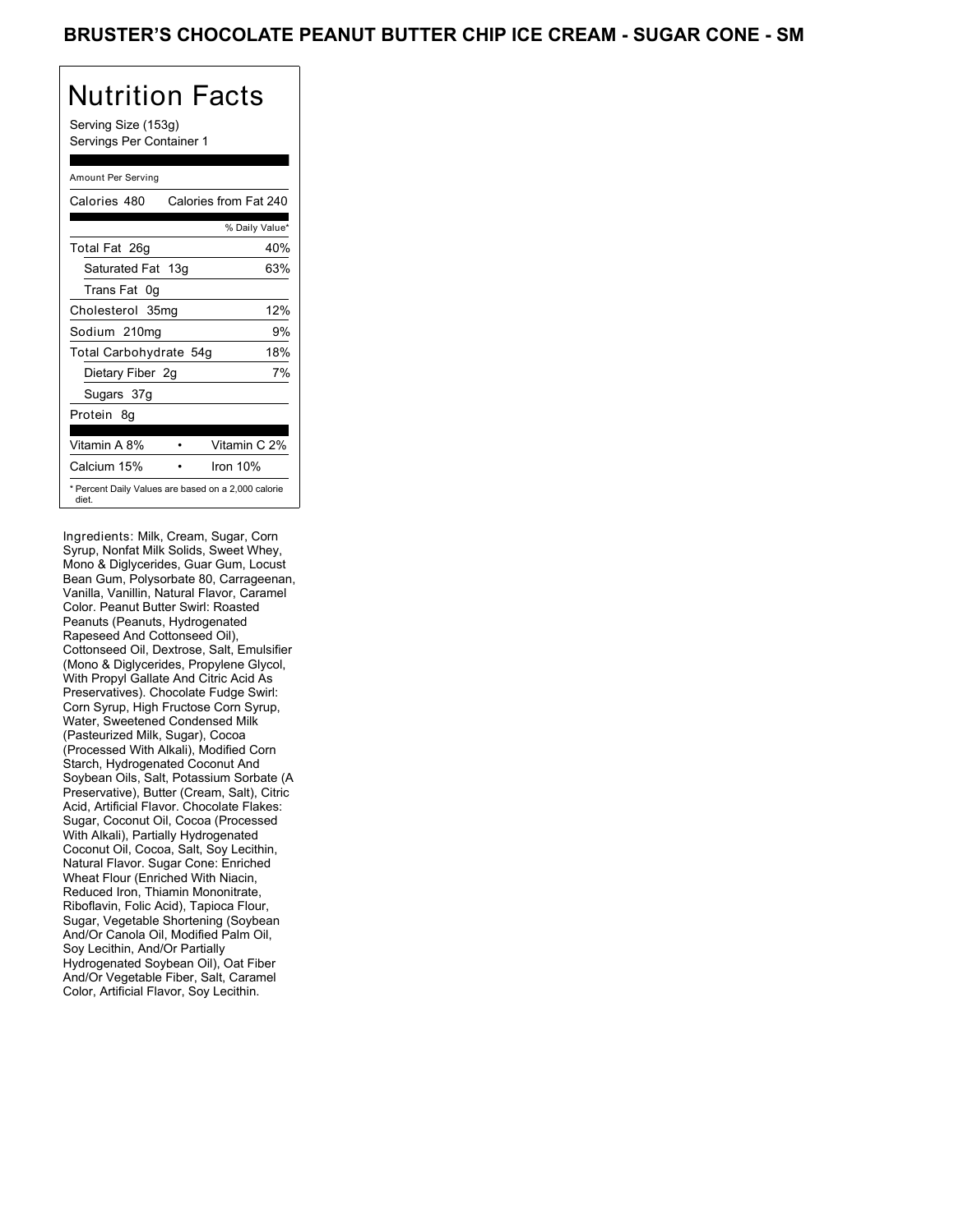Serving Size (153g) Servings Per Container 1

### Amount Per Serving

| Calories from Fat 240<br>Calories 480                                                          |
|------------------------------------------------------------------------------------------------|
| % Daily Value*                                                                                 |
| 40%<br>Total Fat 26g                                                                           |
| Saturated Fat 13g<br>63%                                                                       |
| Trans Fat 0q                                                                                   |
| 12%<br>Cholesterol 35mg                                                                        |
| Sodium 210mg<br>9%                                                                             |
| Total Carbohydrate 54g<br>18%                                                                  |
| 7%<br>Dietary Fiber 2g                                                                         |
| Sugars 37g                                                                                     |
| Protein 8q                                                                                     |
| Vitamin C 2%                                                                                   |
|                                                                                                |
| Vitamin A 8%<br>Calcium 15%<br>Iron 10%<br>* Percent Daily Values are based on a 2,000 calorie |

Ingredients: Milk, Cream, Sugar, Corn Syrup, Nonfat Milk Solids, Sweet Whey, Mono & Diglycerides, Guar Gum, Locust Bean Gum, Polysorbate 80, Carrageenan, Vanilla, Vanillin, Natural Flavor, Caramel Color. Peanut Butter Swirl: Roasted Peanuts (Peanuts, Hydrogenated Rapeseed And Cottonseed Oil), Cottonseed Oil, Dextrose, Salt, Emulsifier (Mono & Diglycerides, Propylene Glycol, With Propyl Gallate And Citric Acid As Preservatives). Chocolate Fudge Swirl: Corn Syrup, High Fructose Corn Syrup, Water, Sweetened Condensed Milk (Pasteurized Milk, Sugar), Cocoa (Processed With Alkali), Modified Corn Starch, Hydrogenated Coconut And Soybean Oils, Salt, Potassium Sorbate (A Preservative), Butter (Cream, Salt), Citric Acid, Artificial Flavor. Chocolate Flakes: Sugar, Coconut Oil, Cocoa (Processed With Alkali), Partially Hydrogenated Coconut Oil, Cocoa, Salt, Soy Lecithin, Natural Flavor. Sugar Cone: Enriched Wheat Flour (Enriched With Niacin, Reduced Iron, Thiamin Mononitrate, Riboflavin, Folic Acid), Tapioca Flour, Sugar, Vegetable Shortening (Soybean And/Or Canola Oil, Modified Palm Oil, Soy Lecithin, And/Or Partially Hydrogenated Soybean Oil), Oat Fiber And/Or Vegetable Fiber, Salt, Caramel Color, Artificial Flavor, Soy Lecithin.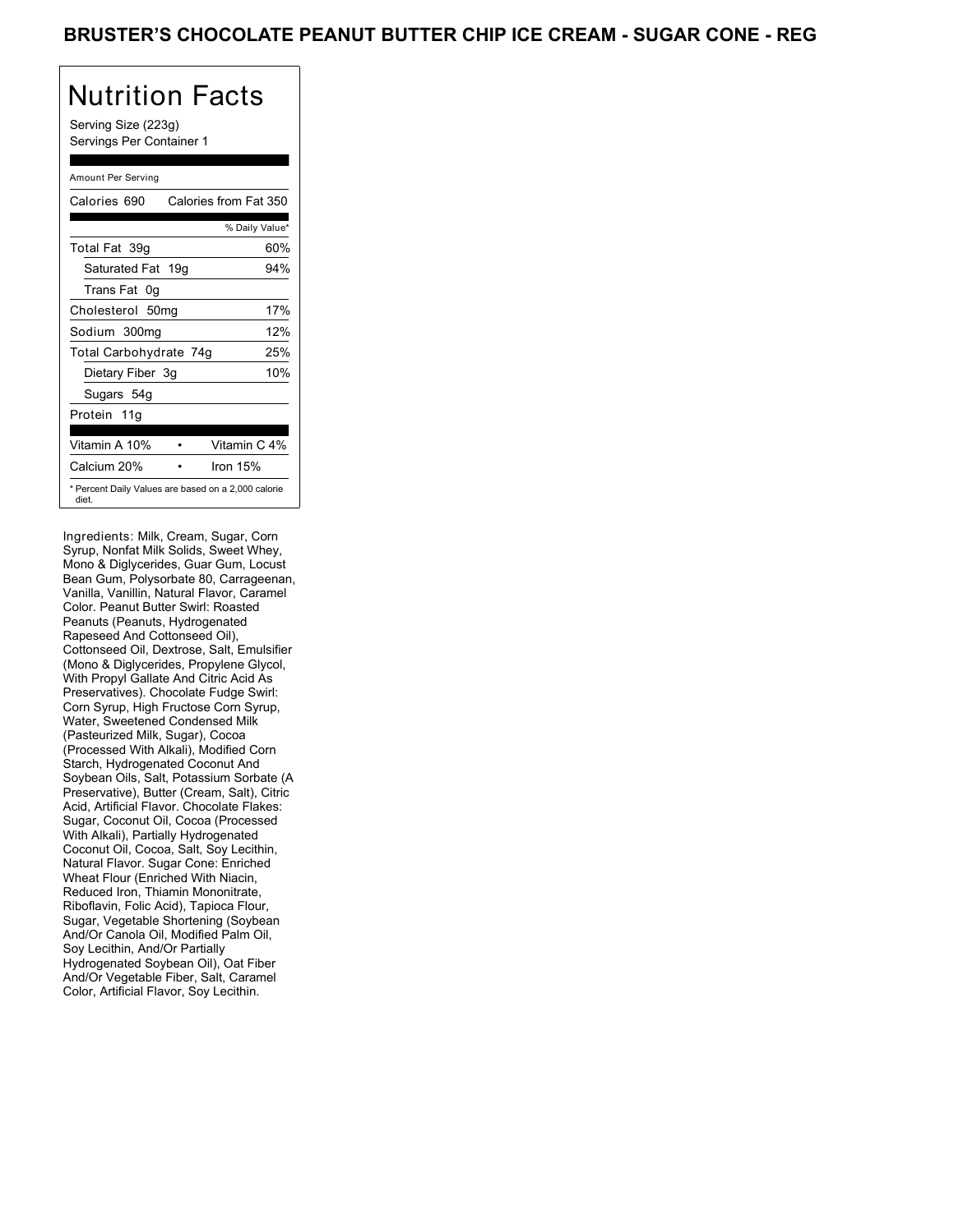Serving Size (223g) Servings Per Container 1

### Amount Per Serving

| Calories 690           | Calories from Fat 350                               |
|------------------------|-----------------------------------------------------|
|                        | % Daily Value*                                      |
| Total Fat 39q          | 60%                                                 |
| Saturated Fat 19g      | 94%                                                 |
| Trans Fat 0q           |                                                     |
| Cholesterol 50mg       | 17%                                                 |
| Sodium 300mg           | 12%                                                 |
| Total Carbohydrate 74g | 25%                                                 |
| Dietary Fiber 3g       | 10%                                                 |
| Sugars 54g             |                                                     |
| Protein 11g            |                                                     |
|                        |                                                     |
| Vitamin A 10%          | Vitamin C 4%                                        |
| Calcium 20%            | Iron $15%$                                          |
| diet.                  | * Percent Daily Values are based on a 2,000 calorie |

Ingredients: Milk, Cream, Sugar, Corn Syrup, Nonfat Milk Solids, Sweet Whey, Mono & Diglycerides, Guar Gum, Locust Bean Gum, Polysorbate 80, Carrageenan, Vanilla, Vanillin, Natural Flavor, Caramel Color. Peanut Butter Swirl: Roasted Peanuts (Peanuts, Hydrogenated Rapeseed And Cottonseed Oil), Cottonseed Oil, Dextrose, Salt, Emulsifier (Mono & Diglycerides, Propylene Glycol, With Propyl Gallate And Citric Acid As Preservatives). Chocolate Fudge Swirl: Corn Syrup, High Fructose Corn Syrup, Water, Sweetened Condensed Milk (Pasteurized Milk, Sugar), Cocoa (Processed With Alkali), Modified Corn Starch, Hydrogenated Coconut And Soybean Oils, Salt, Potassium Sorbate (A Preservative), Butter (Cream, Salt), Citric Acid, Artificial Flavor. Chocolate Flakes: Sugar, Coconut Oil, Cocoa (Processed With Alkali), Partially Hydrogenated Coconut Oil, Cocoa, Salt, Soy Lecithin, Natural Flavor. Sugar Cone: Enriched Wheat Flour (Enriched With Niacin, Reduced Iron, Thiamin Mononitrate, Riboflavin, Folic Acid), Tapioca Flour, Sugar, Vegetable Shortening (Soybean And/Or Canola Oil, Modified Palm Oil, Soy Lecithin, And/Or Partially Hydrogenated Soybean Oil), Oat Fiber And/Or Vegetable Fiber, Salt, Caramel Color, Artificial Flavor, Soy Lecithin.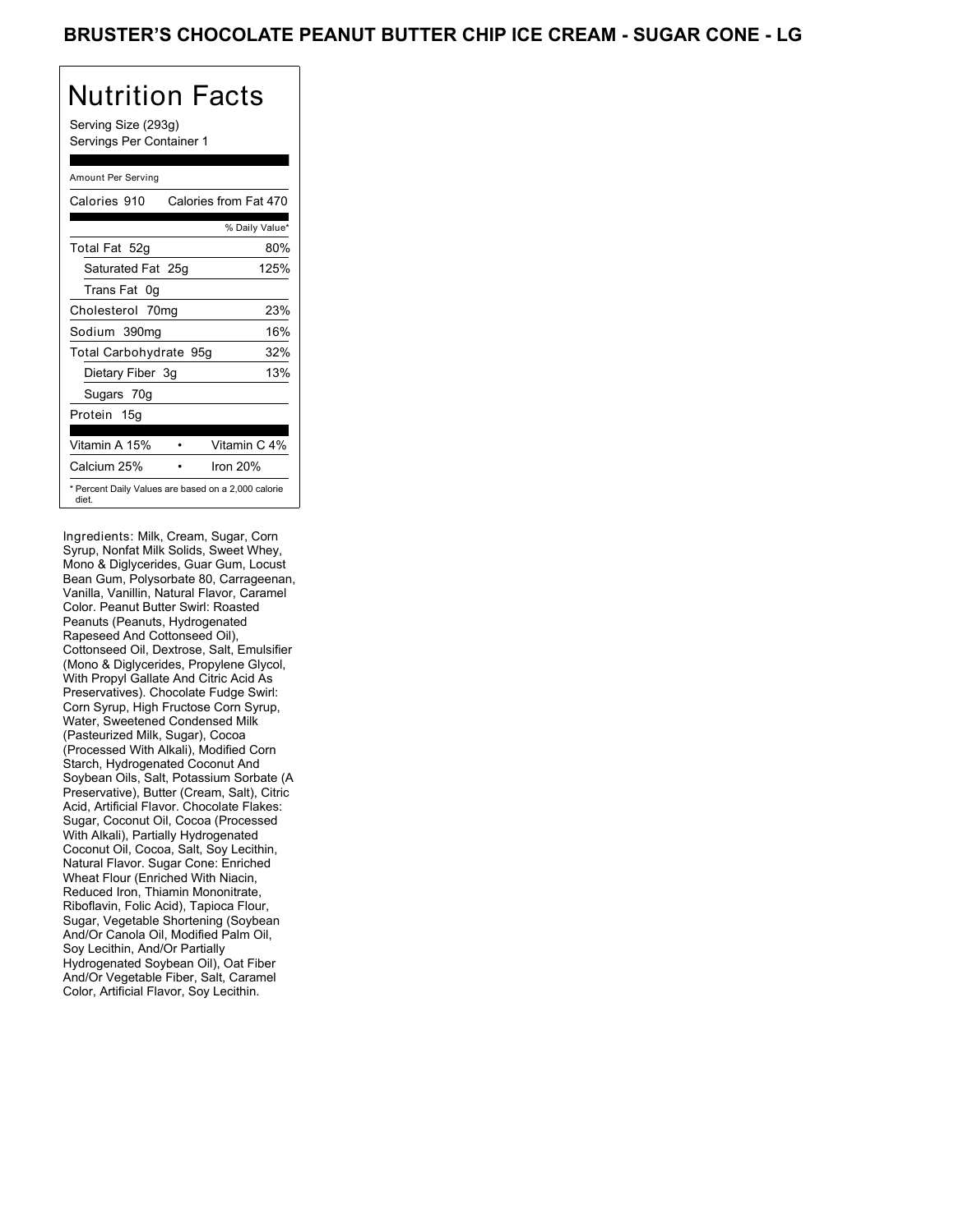Serving Size (293g) Servings Per Container 1

### Amount Per Serving

| Calories 910           | Calories from Fat 470                               |
|------------------------|-----------------------------------------------------|
|                        | % Daily Value*                                      |
| Total Fat 52g          | 80%                                                 |
| Saturated Fat 25g      | 125%                                                |
| Trans Fat 0q           |                                                     |
| Cholesterol 70mg       | 23%                                                 |
| Sodium 390mg           | 16%                                                 |
| Total Carbohydrate 95g | 32%                                                 |
| Dietary Fiber 3g       | 13%                                                 |
| Sugars 70g             |                                                     |
| Protein 15g            |                                                     |
| Vitamin A 15%          | Vitamin C 4%                                        |
| Calcium 25%            | Iron 20%                                            |
| diet.                  | * Percent Daily Values are based on a 2,000 calorie |

Ingredients: Milk, Cream, Sugar, Corn Syrup, Nonfat Milk Solids, Sweet Whey, Mono & Diglycerides, Guar Gum, Locust Bean Gum, Polysorbate 80, Carrageenan, Vanilla, Vanillin, Natural Flavor, Caramel Color. Peanut Butter Swirl: Roasted Peanuts (Peanuts, Hydrogenated Rapeseed And Cottonseed Oil), Cottonseed Oil, Dextrose, Salt, Emulsifier (Mono & Diglycerides, Propylene Glycol, With Propyl Gallate And Citric Acid As Preservatives). Chocolate Fudge Swirl: Corn Syrup, High Fructose Corn Syrup, Water, Sweetened Condensed Milk (Pasteurized Milk, Sugar), Cocoa (Processed With Alkali), Modified Corn Starch, Hydrogenated Coconut And Soybean Oils, Salt, Potassium Sorbate (A Preservative), Butter (Cream, Salt), Citric Acid, Artificial Flavor. Chocolate Flakes: Sugar, Coconut Oil, Cocoa (Processed With Alkali), Partially Hydrogenated Coconut Oil, Cocoa, Salt, Soy Lecithin, Natural Flavor. Sugar Cone: Enriched Wheat Flour (Enriched With Niacin, Reduced Iron, Thiamin Mononitrate, Riboflavin, Folic Acid), Tapioca Flour, Sugar, Vegetable Shortening (Soybean And/Or Canola Oil, Modified Palm Oil, Soy Lecithin, And/Or Partially Hydrogenated Soybean Oil), Oat Fiber And/Or Vegetable Fiber, Salt, Caramel Color, Artificial Flavor, Soy Lecithin.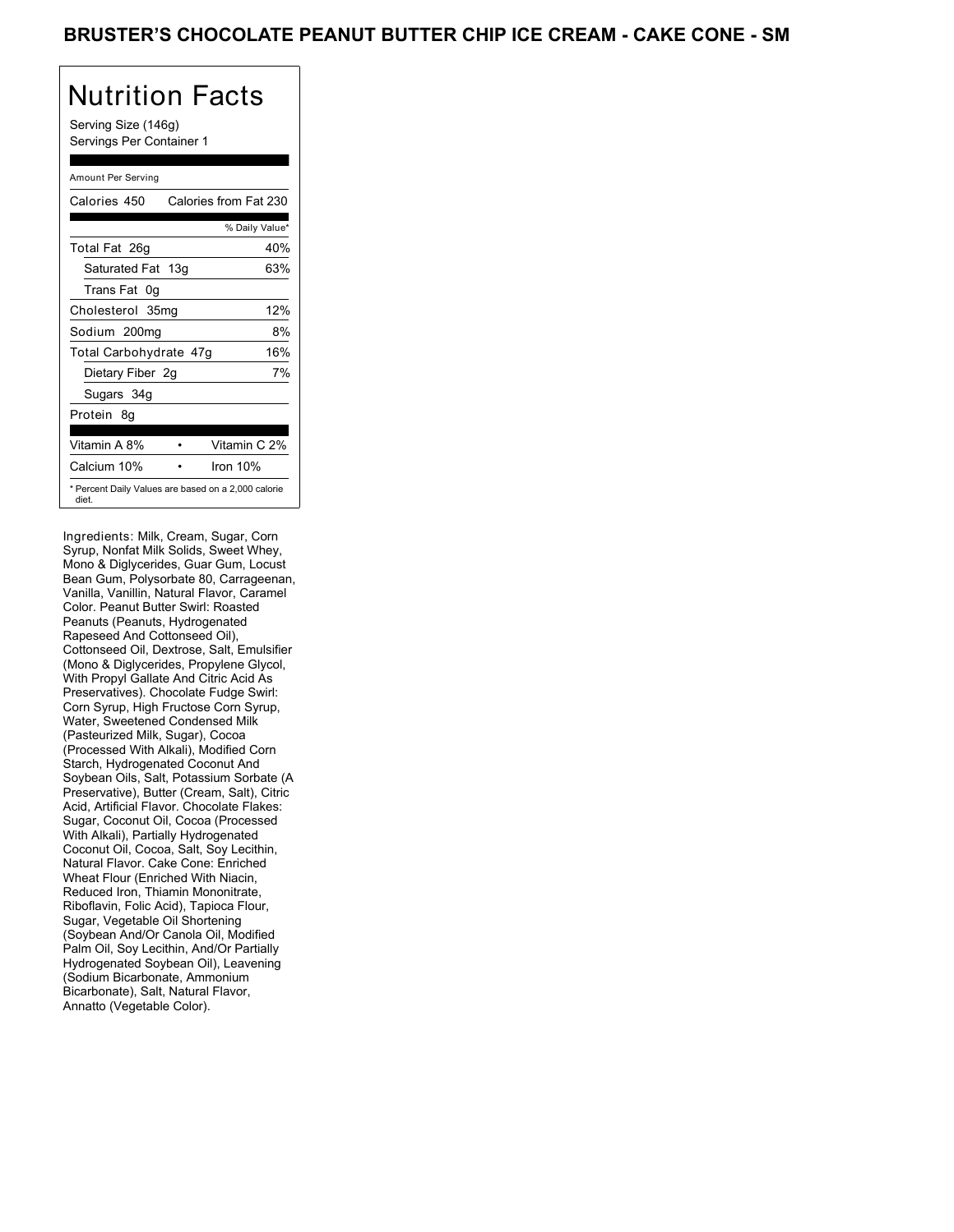Serving Size (146g) Servings Per Container 1

### Amount Per Serving

| Calories 450           | Calories from Fat 230                               |  |
|------------------------|-----------------------------------------------------|--|
|                        | % Daily Value*                                      |  |
| Total Fat 26g          | 40%                                                 |  |
| Saturated Fat 13g      | 63%                                                 |  |
| Trans Fat 0q           |                                                     |  |
| Cholesterol 35mg       | 12%                                                 |  |
| Sodium 200mg           | 8%                                                  |  |
| Total Carbohydrate 47g | 16%                                                 |  |
| Dietary Fiber 2g       | 7%                                                  |  |
| Sugars 34g             |                                                     |  |
| Protein 8q             |                                                     |  |
| Vitamin A 8%           | Vitamin C 2%                                        |  |
| Calcium 10%            | Iron 10%                                            |  |
| diet.                  | * Percent Daily Values are based on a 2,000 calorie |  |

Ingredients: Milk, Cream, Sugar, Corn Syrup, Nonfat Milk Solids, Sweet Whey, Mono & Diglycerides, Guar Gum, Locust Bean Gum, Polysorbate 80, Carrageenan, Vanilla, Vanillin, Natural Flavor, Caramel Color. Peanut Butter Swirl: Roasted Peanuts (Peanuts, Hydrogenated Rapeseed And Cottonseed Oil), Cottonseed Oil, Dextrose, Salt, Emulsifier (Mono & Diglycerides, Propylene Glycol, With Propyl Gallate And Citric Acid As Preservatives). Chocolate Fudge Swirl: Corn Syrup, High Fructose Corn Syrup, Water, Sweetened Condensed Milk (Pasteurized Milk, Sugar), Cocoa (Processed With Alkali), Modified Corn Starch, Hydrogenated Coconut And Soybean Oils, Salt, Potassium Sorbate (A Preservative), Butter (Cream, Salt), Citric Acid, Artificial Flavor. Chocolate Flakes: Sugar, Coconut Oil, Cocoa (Processed With Alkali), Partially Hydrogenated Coconut Oil, Cocoa, Salt, Soy Lecithin, Natural Flavor. Cake Cone: Enriched Wheat Flour (Enriched With Niacin, Reduced Iron, Thiamin Mononitrate, Riboflavin, Folic Acid), Tapioca Flour, Sugar, Vegetable Oil Shortening (Soybean And/Or Canola Oil, Modified Palm Oil, Soy Lecithin, And/Or Partially Hydrogenated Soybean Oil), Leavening (Sodium Bicarbonate, Ammonium Bicarbonate), Salt, Natural Flavor, Annatto (Vegetable Color).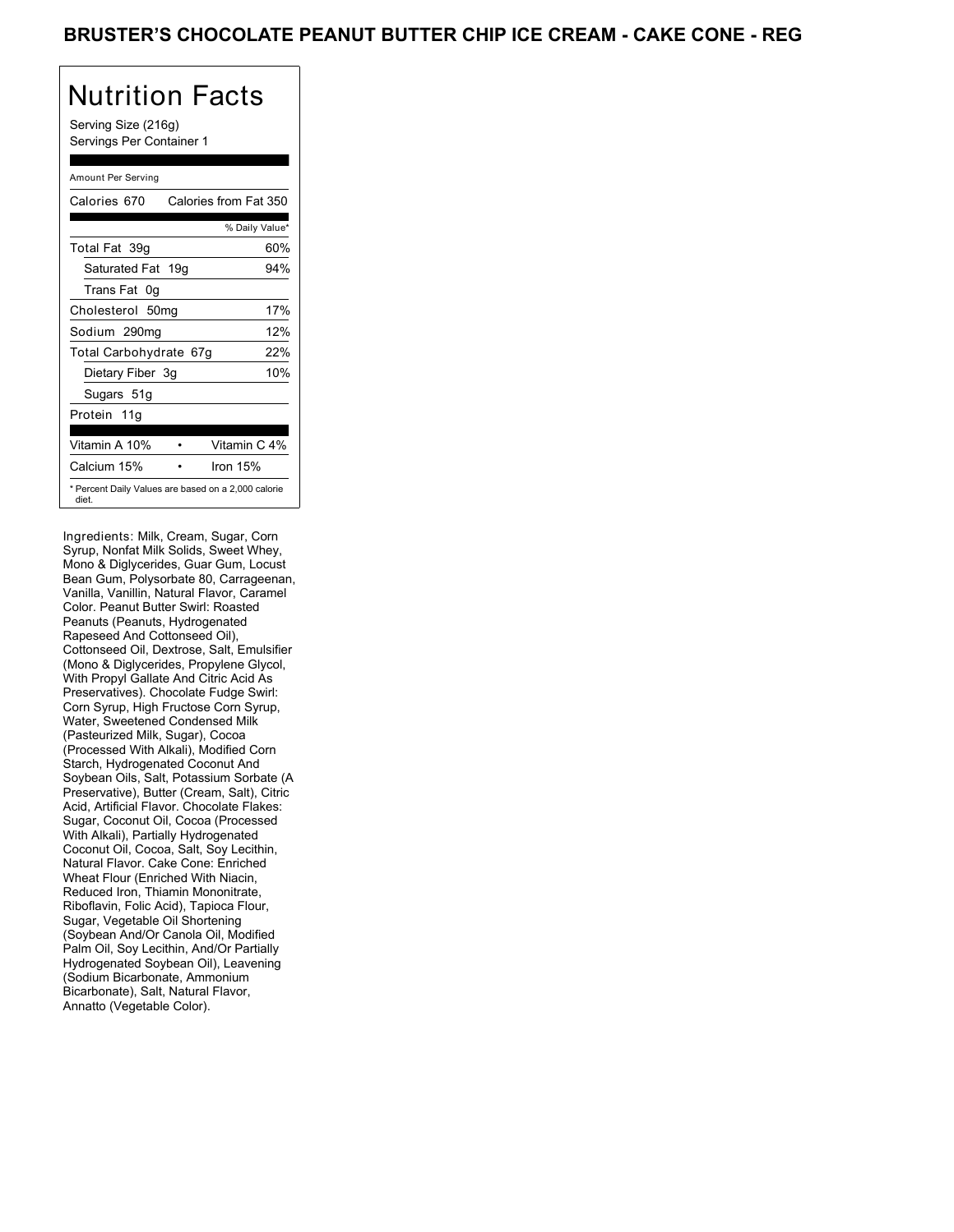Serving Size (216g) Servings Per Container 1

### Amount Per Serving

| Calories 670                                                 | Calories from Fat 350 |
|--------------------------------------------------------------|-----------------------|
|                                                              | % Daily Value*        |
| Total Fat 39g                                                | 60%                   |
| Saturated Fat 19g                                            | 94%                   |
| Trans Fat 0q                                                 |                       |
| Cholesterol 50mg                                             | 17%                   |
| Sodium 290mg                                                 | 12%                   |
| Total Carbohydrate 67g                                       | 22%                   |
| Dietary Fiber 3g                                             | 10%                   |
| Sugars 51g                                                   |                       |
| Protein 11g                                                  |                       |
| Vitamin A 10%                                                | Vitamin C 4%          |
| Calcium 15%                                                  | Iron 15%              |
| * Percent Daily Values are based on a 2,000 calorie<br>diet. |                       |

Ingredients: Milk, Cream, Sugar, Corn Syrup, Nonfat Milk Solids, Sweet Whey, Mono & Diglycerides, Guar Gum, Locust Bean Gum, Polysorbate 80, Carrageenan, Vanilla, Vanillin, Natural Flavor, Caramel Color. Peanut Butter Swirl: Roasted Peanuts (Peanuts, Hydrogenated Rapeseed And Cottonseed Oil), Cottonseed Oil, Dextrose, Salt, Emulsifier (Mono & Diglycerides, Propylene Glycol, With Propyl Gallate And Citric Acid As Preservatives). Chocolate Fudge Swirl: Corn Syrup, High Fructose Corn Syrup, Water, Sweetened Condensed Milk (Pasteurized Milk, Sugar), Cocoa (Processed With Alkali), Modified Corn Starch, Hydrogenated Coconut And Soybean Oils, Salt, Potassium Sorbate (A Preservative), Butter (Cream, Salt), Citric Acid, Artificial Flavor. Chocolate Flakes: Sugar, Coconut Oil, Cocoa (Processed With Alkali), Partially Hydrogenated Coconut Oil, Cocoa, Salt, Soy Lecithin, Natural Flavor. Cake Cone: Enriched Wheat Flour (Enriched With Niacin, Reduced Iron, Thiamin Mononitrate, Riboflavin, Folic Acid), Tapioca Flour, Sugar, Vegetable Oil Shortening (Soybean And/Or Canola Oil, Modified Palm Oil, Soy Lecithin, And/Or Partially Hydrogenated Soybean Oil), Leavening (Sodium Bicarbonate, Ammonium Bicarbonate), Salt, Natural Flavor, Annatto (Vegetable Color).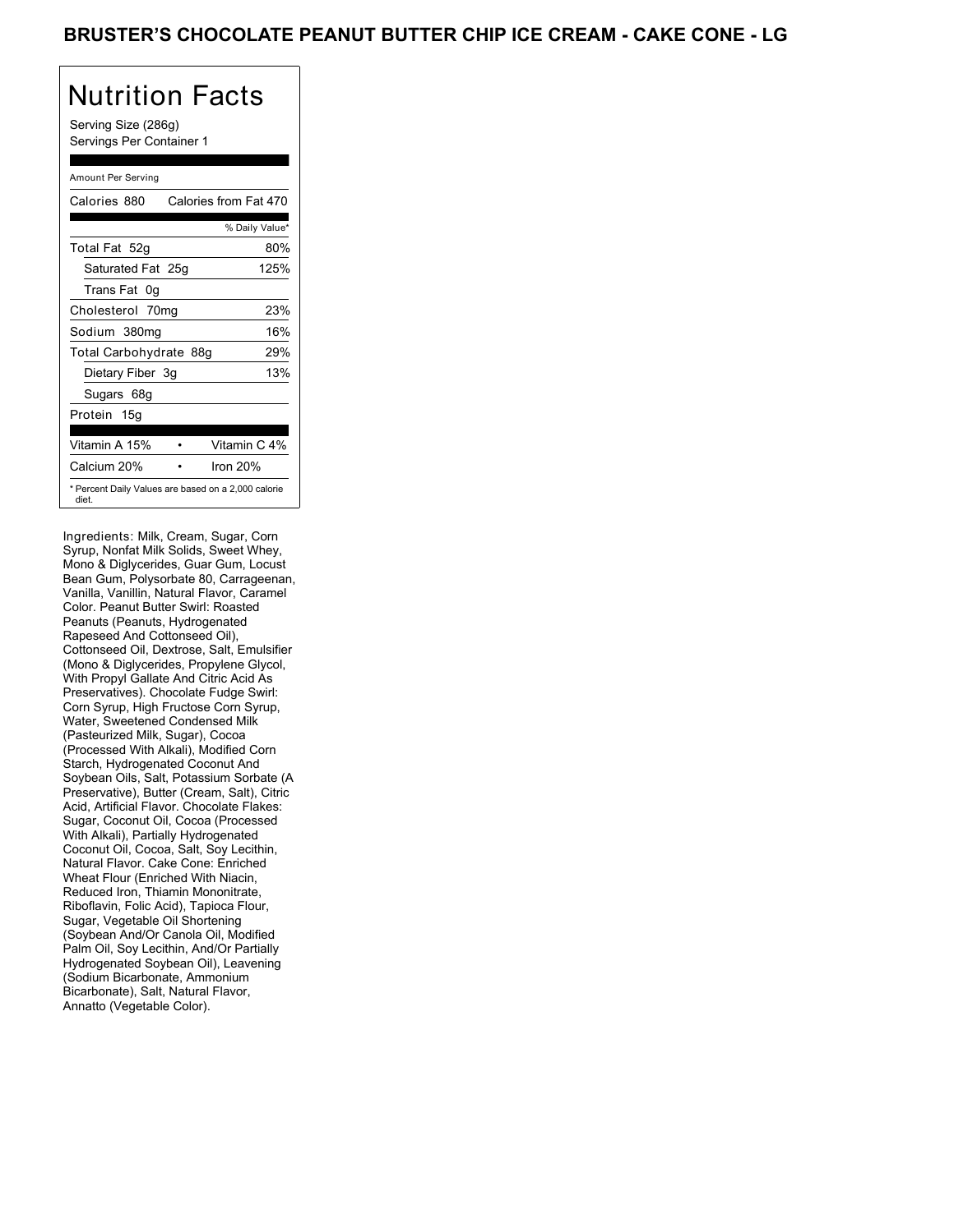Serving Size (286g) Servings Per Container 1

### Amount Per Serving

| Calories 880           | Calories from Fat 470                               |
|------------------------|-----------------------------------------------------|
|                        | % Daily Value*                                      |
| Total Fat 52g          | 80%                                                 |
| Saturated Fat 25g      | 125%                                                |
| Trans Fat 0q           |                                                     |
| Cholesterol 70mg       | 23%                                                 |
| Sodium 380mg           | 16%                                                 |
| Total Carbohydrate 88g | 29%                                                 |
| Dietary Fiber 3g       | 13%                                                 |
| Sugars 68g             |                                                     |
| Protein 15g            |                                                     |
|                        |                                                     |
| Vitamin A 15%          | Vitamin C 4%                                        |
| Calcium 20%            | Iron $20%$                                          |
| diet.                  | * Percent Daily Values are based on a 2,000 calorie |

Ingredients: Milk, Cream, Sugar, Corn Syrup, Nonfat Milk Solids, Sweet Whey, Mono & Diglycerides, Guar Gum, Locust Bean Gum, Polysorbate 80, Carrageenan, Vanilla, Vanillin, Natural Flavor, Caramel Color. Peanut Butter Swirl: Roasted Peanuts (Peanuts, Hydrogenated Rapeseed And Cottonseed Oil), Cottonseed Oil, Dextrose, Salt, Emulsifier (Mono & Diglycerides, Propylene Glycol, With Propyl Gallate And Citric Acid As Preservatives). Chocolate Fudge Swirl: Corn Syrup, High Fructose Corn Syrup, Water, Sweetened Condensed Milk (Pasteurized Milk, Sugar), Cocoa (Processed With Alkali), Modified Corn Starch, Hydrogenated Coconut And Soybean Oils, Salt, Potassium Sorbate (A Preservative), Butter (Cream, Salt), Citric Acid, Artificial Flavor. Chocolate Flakes: Sugar, Coconut Oil, Cocoa (Processed With Alkali), Partially Hydrogenated Coconut Oil, Cocoa, Salt, Soy Lecithin, Natural Flavor. Cake Cone: Enriched Wheat Flour (Enriched With Niacin, Reduced Iron, Thiamin Mononitrate, Riboflavin, Folic Acid), Tapioca Flour, Sugar, Vegetable Oil Shortening (Soybean And/Or Canola Oil, Modified Palm Oil, Soy Lecithin, And/Or Partially Hydrogenated Soybean Oil), Leavening (Sodium Bicarbonate, Ammonium Bicarbonate), Salt, Natural Flavor, Annatto (Vegetable Color).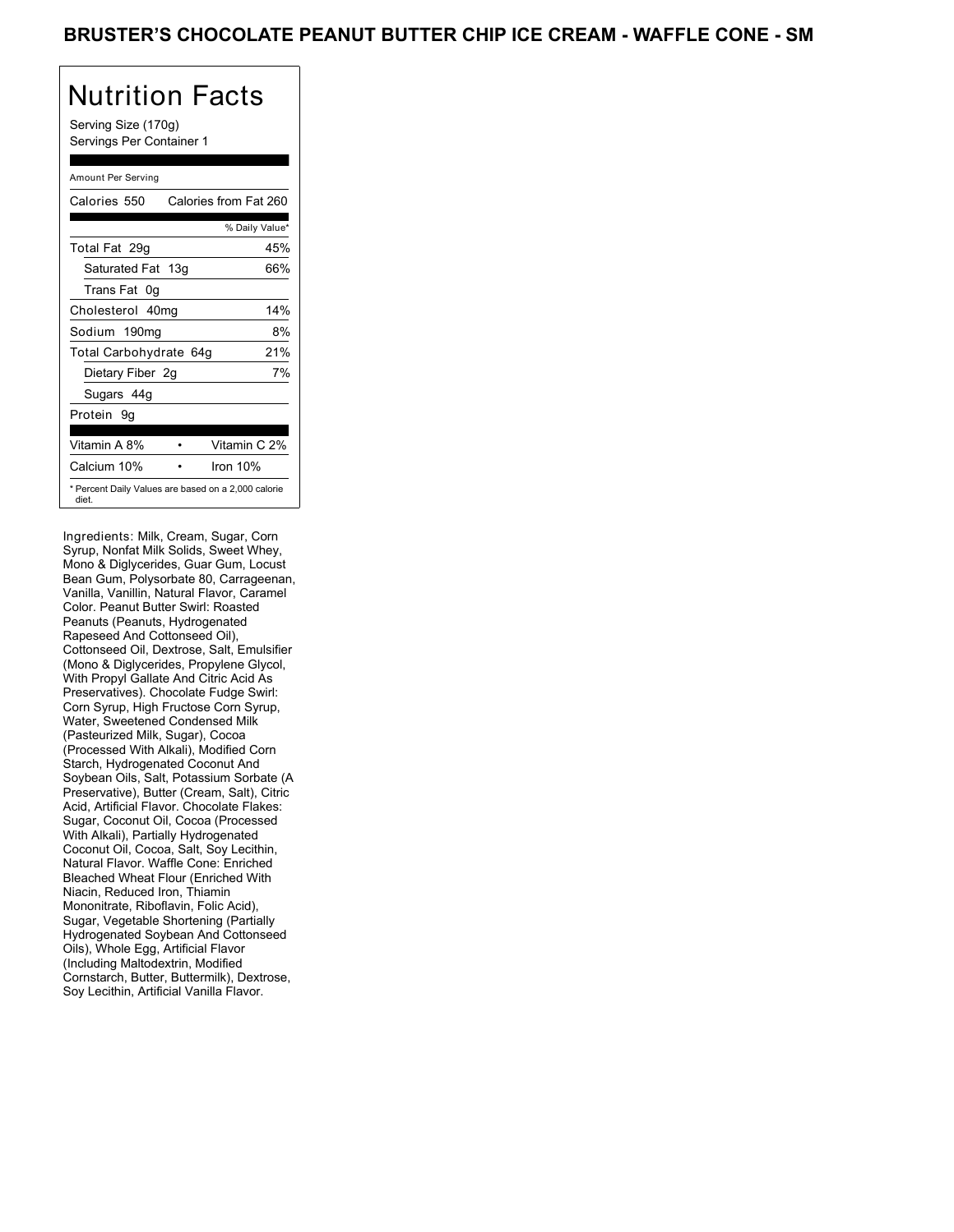Serving Size (170g) Servings Per Container 1

### Amount Per Serving

| Calories 550           | Calories from Fat 260                               |
|------------------------|-----------------------------------------------------|
|                        | % Daily Value*                                      |
| Total Fat 29g          | 45%                                                 |
| Saturated Fat 13g      | 66%                                                 |
| Trans Fat 0q           |                                                     |
| Cholesterol 40mg       | 14%                                                 |
| Sodium 190mg           | 8%                                                  |
| Total Carbohydrate 64g | 21%                                                 |
| Dietary Fiber 2g       | 7%                                                  |
| Sugars 44g             |                                                     |
| Protein 9q             |                                                     |
|                        |                                                     |
| Vitamin A 8%           | Vitamin C 2%                                        |
| Calcium 10%            | Iron 10%                                            |
| diet.                  | * Percent Daily Values are based on a 2,000 calorie |

Ingredients: Milk, Cream, Sugar, Corn Syrup, Nonfat Milk Solids, Sweet Whey, Mono & Diglycerides, Guar Gum, Locust Bean Gum, Polysorbate 80, Carrageenan, Vanilla, Vanillin, Natural Flavor, Caramel Color. Peanut Butter Swirl: Roasted Peanuts (Peanuts, Hydrogenated Rapeseed And Cottonseed Oil), Cottonseed Oil, Dextrose, Salt, Emulsifier (Mono & Diglycerides, Propylene Glycol, With Propyl Gallate And Citric Acid As Preservatives). Chocolate Fudge Swirl: Corn Syrup, High Fructose Corn Syrup, Water, Sweetened Condensed Milk (Pasteurized Milk, Sugar), Cocoa (Processed With Alkali), Modified Corn Starch, Hydrogenated Coconut And Soybean Oils, Salt, Potassium Sorbate (A Preservative), Butter (Cream, Salt), Citric Acid, Artificial Flavor. Chocolate Flakes: Sugar, Coconut Oil, Cocoa (Processed With Alkali), Partially Hydrogenated Coconut Oil, Cocoa, Salt, Soy Lecithin, Natural Flavor. Waffle Cone: Enriched Bleached Wheat Flour (Enriched With Niacin, Reduced Iron, Thiamin Mononitrate, Riboflavin, Folic Acid), Sugar, Vegetable Shortening (Partially Hydrogenated Soybean And Cottonseed Oils), Whole Egg, Artificial Flavor (Including Maltodextrin, Modified Cornstarch, Butter, Buttermilk), Dextrose, Soy Lecithin, Artificial Vanilla Flavor.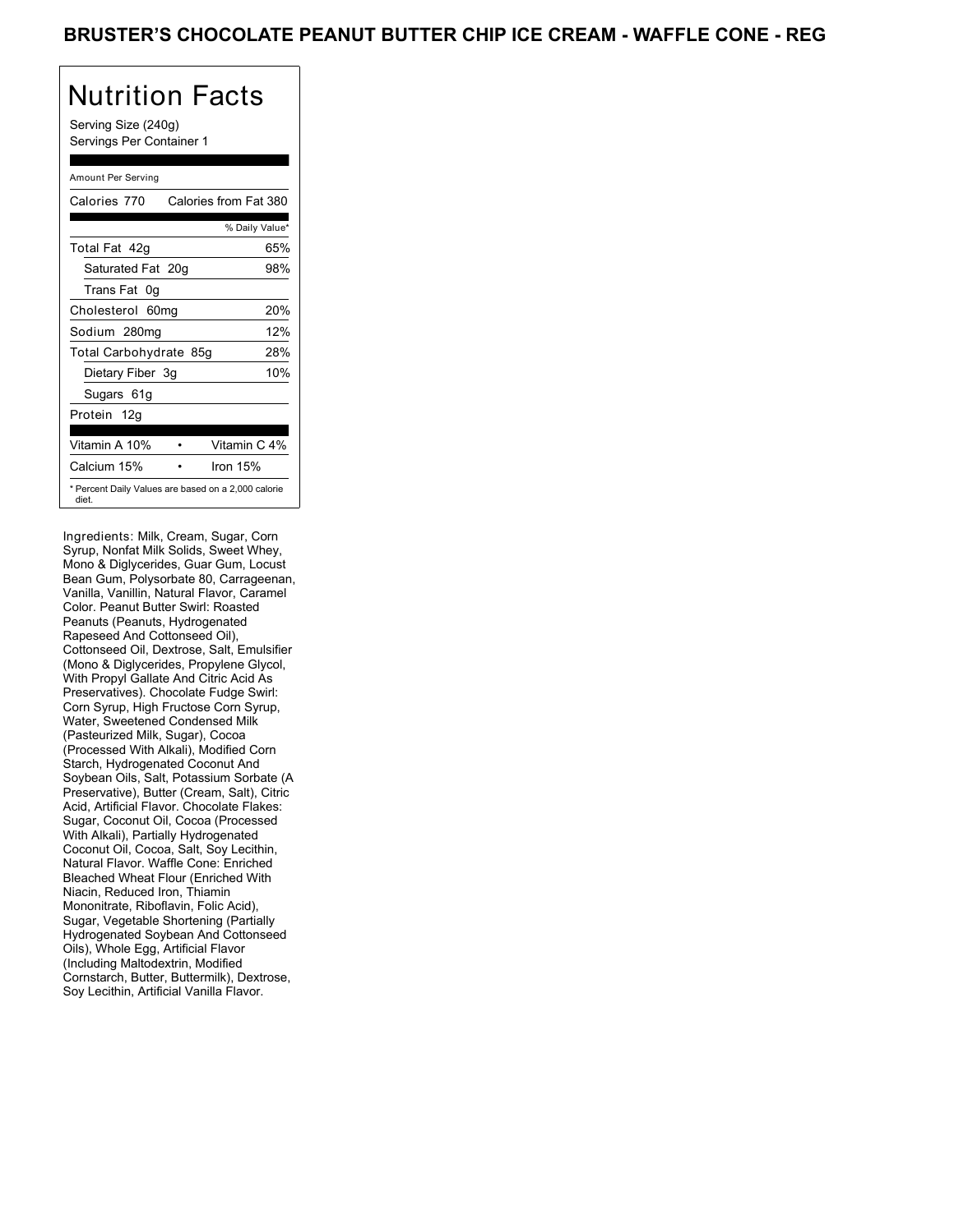Serving Size (240g) Servings Per Container 1

### Amount Per Serving

| Calories 770                                                 | Calories from Fat 380 |
|--------------------------------------------------------------|-----------------------|
|                                                              | % Daily Value*        |
| Total Fat 42q                                                | 65%                   |
| Saturated Fat 20g                                            | 98%                   |
| Trans Fat 0q                                                 |                       |
| Cholesterol 60mg                                             | 20%                   |
| Sodium 280mg                                                 | 12%                   |
| Total Carbohydrate 85g                                       | 28%                   |
| Dietary Fiber 3g                                             | 10%                   |
| Sugars 61g                                                   |                       |
| Protein 12q                                                  |                       |
|                                                              |                       |
| Vitamin A 10%                                                | Vitamin C 4%          |
| Calcium 15%                                                  | Iron $15%$            |
| * Percent Daily Values are based on a 2,000 calorie<br>diet. |                       |

Ingredients: Milk, Cream, Sugar, Corn Syrup, Nonfat Milk Solids, Sweet Whey, Mono & Diglycerides, Guar Gum, Locust Bean Gum, Polysorbate 80, Carrageenan, Vanilla, Vanillin, Natural Flavor, Caramel Color. Peanut Butter Swirl: Roasted Peanuts (Peanuts, Hydrogenated Rapeseed And Cottonseed Oil), Cottonseed Oil, Dextrose, Salt, Emulsifier (Mono & Diglycerides, Propylene Glycol, With Propyl Gallate And Citric Acid As Preservatives). Chocolate Fudge Swirl: Corn Syrup, High Fructose Corn Syrup, Water, Sweetened Condensed Milk (Pasteurized Milk, Sugar), Cocoa (Processed With Alkali), Modified Corn Starch, Hydrogenated Coconut And Soybean Oils, Salt, Potassium Sorbate (A Preservative), Butter (Cream, Salt), Citric Acid, Artificial Flavor. Chocolate Flakes: Sugar, Coconut Oil, Cocoa (Processed With Alkali), Partially Hydrogenated Coconut Oil, Cocoa, Salt, Soy Lecithin, Natural Flavor. Waffle Cone: Enriched Bleached Wheat Flour (Enriched With Niacin, Reduced Iron, Thiamin Mononitrate, Riboflavin, Folic Acid), Sugar, Vegetable Shortening (Partially Hydrogenated Soybean And Cottonseed Oils), Whole Egg, Artificial Flavor (Including Maltodextrin, Modified Cornstarch, Butter, Buttermilk), Dextrose, Soy Lecithin, Artificial Vanilla Flavor.